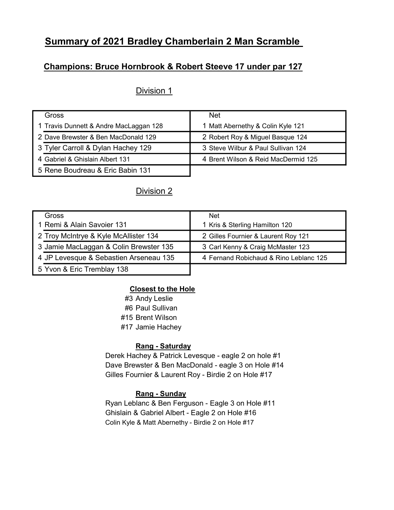# Summary of 2021 Bradley Chamberlain 2 Man Scramble

## Champions: Bruce Hornbrook & Robert Steeve 17 under par 127

## Division 1

| Gross                                  | <b>Net</b>                          |
|----------------------------------------|-------------------------------------|
| 1 Travis Dunnett & Andre MacLaggan 128 | 1 Matt Abernethy & Colin Kyle 121   |
| 2 Dave Brewster & Ben MacDonald 129    | 2 Robert Roy & Miguel Basque 124    |
| 3 Tyler Carroll & Dylan Hachey 129     | 3 Steve Wilbur & Paul Sullivan 124  |
| 4 Gabriel & Ghislain Albert 131        | 4 Brent Wilson & Reid MacDermid 125 |
| 5 Rene Boudreau & Eric Babin 131       |                                     |

### Division 2

| Gross                                  | Net                                    |
|----------------------------------------|----------------------------------------|
| 1 Remi & Alain Savoier 131             | 1 Kris & Sterling Hamilton 120         |
| 2 Troy McIntrye & Kyle McAllister 134  | 2 Gilles Fournier & Laurent Roy 121    |
| 3 Jamie MacLaggan & Colin Brewster 135 | 3 Carl Kenny & Craig McMaster 123      |
| 4 JP Levesque & Sebastien Arseneau 135 | 4 Fernand Robichaud & Rino Leblanc 125 |
| 5 Yvon & Eric Tremblay 138             |                                        |

#### Closest to the Hole

#3 Andy Leslie

#6 Paul Sullivan

#15 Brent Wilson

#17 Jamie Hachey

#### Rang - Saturday

Derek Hachey & Patrick Levesque - eagle 2 on hole #1 Dave Brewster & Ben MacDonald - eagle 3 on Hole #14 Gilles Fournier & Laurent Roy - Birdie 2 on Hole #17

#### Rang - Sunday

Ryan Leblanc & Ben Ferguson - Eagle 3 on Hole #11 Ghislain & Gabriel Albert - Eagle 2 on Hole #16 Colin Kyle & Matt Abernethy - Birdie 2 on Hole #17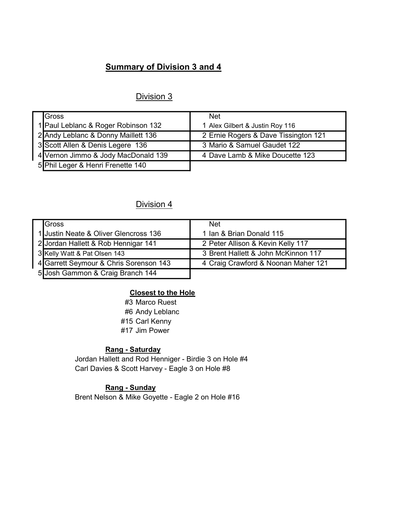# Summary of Division 3 and 4

# Division 3

| Gross                               | <b>Net</b>                           |
|-------------------------------------|--------------------------------------|
| 1 Paul Leblanc & Roger Robinson 132 | 1 Alex Gilbert & Justin Roy 116      |
| 2 Andy Leblanc & Donny Maillett 136 | 2 Ernie Rogers & Dave Tissington 121 |
| 3 Scott Allen & Denis Legere 136    | 3 Mario & Samuel Gaudet 122          |
| 4 Vernon Jimmo & Jody MacDonald 139 | 4 Dave Lamb & Mike Doucette 123      |
| 5 Phil Leger & Henri Frenette 140   |                                      |

# Division 4

| Gross                                  | <b>Net</b>                          |
|----------------------------------------|-------------------------------------|
| 1 Justin Neate & Oliver Glencross 136  | 1 Ian & Brian Donald 115            |
| 2 Jordan Hallett & Rob Hennigar 141    | 2 Peter Allison & Kevin Kelly 117   |
| 3 Kelly Watt & Pat Olsen 143           | 3 Brent Hallett & John McKinnon 117 |
| 4 Garrett Seymour & Chris Sorenson 143 | 4 Craig Crawford & Noonan Maher 121 |
| 5 Josh Gammon & Craig Branch 144       |                                     |

#### Closest to the Hole

#3 Marco Ruest #6 Andy Leblanc #15 Carl Kenny #17 Jim Power

#### Rang - Saturday

Jordan Hallett and Rod Henniger - Birdie 3 on Hole #4 Carl Davies & Scott Harvey - Eagle 3 on Hole #8

### Rang - Sunday

Brent Nelson & Mike Goyette - Eagle 2 on Hole #16